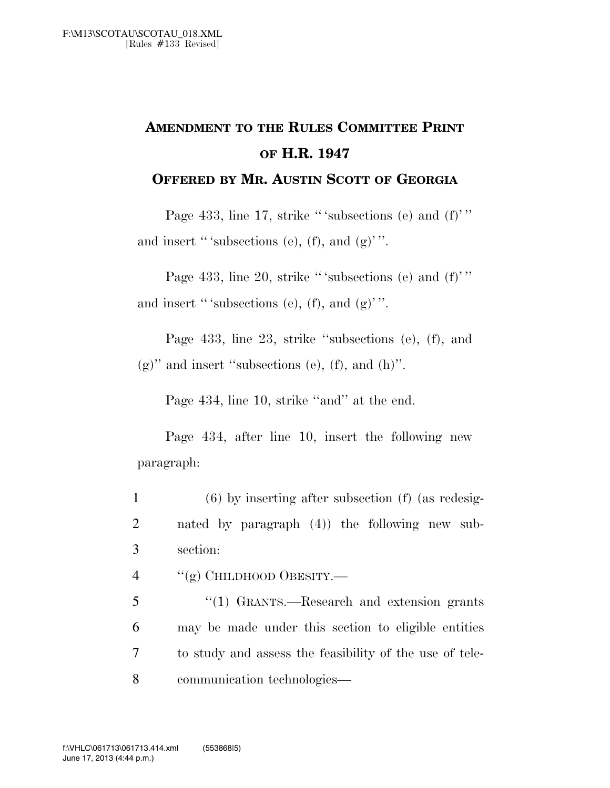## **AMENDMENT TO THE RULES COMMITTEE PRINT OF H.R. 1947**

## **OFFERED BY MR. AUSTIN SCOTT OF GEORGIA**

Page 433, line 17, strike "'subsections (e) and (f)'" and insert "'subsections (e), (f), and  $(g)$ ".

Page 433, line 20, strike "'subsections (e) and  $(f)$ " and insert " 'subsections (e), (f), and  $(g)$ ".

Page 433, line 23, strike ''subsections (e), (f), and  $(g)$ " and insert "subsections (e), (f), and (h)".

Page 434, line 10, strike ''and'' at the end.

Page 434, after line 10, insert the following new paragraph:

- 1 (6) by inserting after subsection (f) (as redesig-2 nated by paragraph (4)) the following new sub-3 section:
- 4 "(g) CHILDHOOD OBESITY.—
- 5 ''(1) GRANTS.—Research and extension grants 6 may be made under this section to eligible entities 7 to study and assess the feasibility of the use of tele-8 communication technologies—